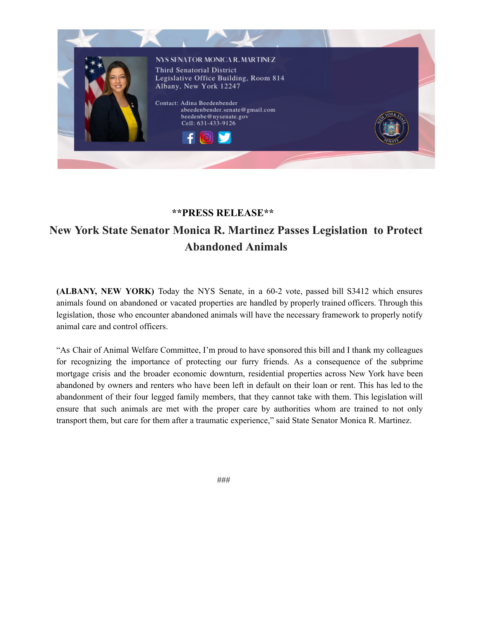

## **\*\*PRESS RELEASE\*\***

## **New York State Senator Monica R. Martinez Passes Legislation to Protect Abandoned Animals**

**(ALBANY, NEW YORK)** Today the NYS Senate, in a 60-2 vote, passed bill S3412 which ensures animals found on abandoned or vacated properties are handled by properly trained officers. Through this legislation, those who encounter abandoned animals will have the necessary framework to properly notify animal care and control officers.

"As Chair of Animal Welfare Committee, I'm proud to have sponsored this bill and I thank my colleagues for recognizing the importance of protecting our furry friends. As a consequence of the subprime mortgage crisis and the broader economic downturn, residential properties across New York have been abandoned by owners and renters who have been left in default on their loan or rent. This has led to the abandonment of their four legged family members, that they cannot take with them. This legislation will ensure that such animals are met with the proper care by authorities whom are trained to not only transport them, but care for them after a traumatic experience," said State Senator Monica R. Martinez.

 $\# \# \#$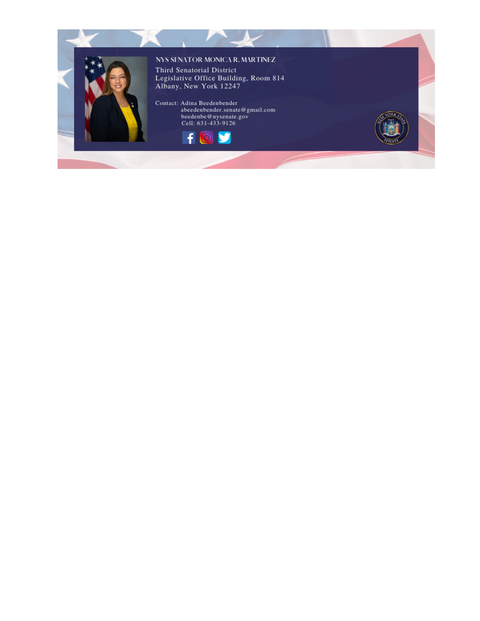